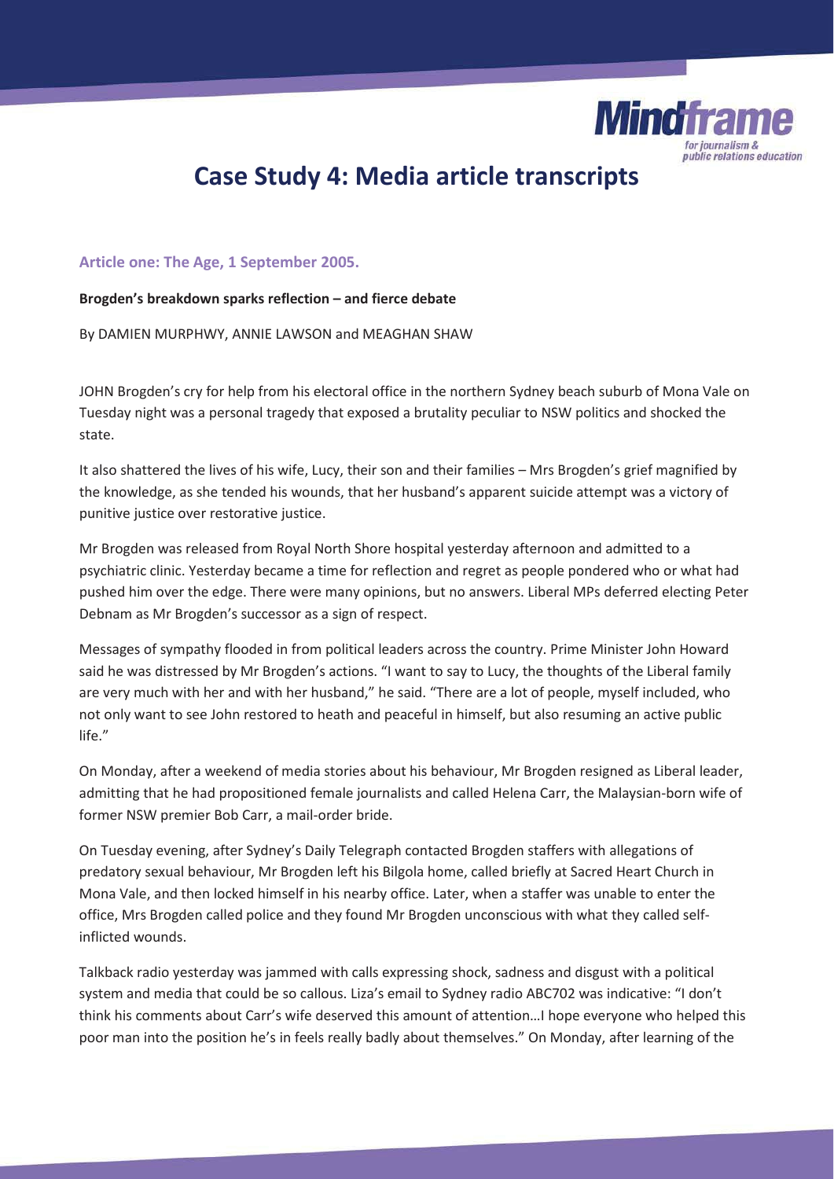

# **Case Study 4: Media article transcripts**

# **Article one: The Age, 1 September 2005.**

# **Brogden's breakdown sparks reflection – and fierce debate**

By DAMIEN MURPHWY, ANNIE LAWSON and MEAGHAN SHAW

JOHN Brogden's cry for help from his electoral office in the northern Sydney beach suburb of Mona Vale on Tuesday night was a personal tragedy that exposed a brutality peculiar to NSW politics and shocked the state.

It also shattered the lives of his wife, Lucy, their son and their families – Mrs Brogden's grief magnified by the knowledge, as she tended his wounds, that her husband's apparent suicide attempt was a victory of punitive justice over restorative justice.

Mr Brogden was released from Royal North Shore hospital yesterday afternoon and admitted to a psychiatric clinic. Yesterday became a time for reflection and regret as people pondered who or what had pushed him over the edge. There were many opinions, but no answers. Liberal MPs deferred electing Peter Debnam as Mr Brogden's successor as a sign of respect.

Messages of sympathy flooded in from political leaders across the country. Prime Minister John Howard said he was distressed by Mr Brogden's actions. "I want to say to Lucy, the thoughts of the Liberal family are very much with her and with her husband," he said. "There are a lot of people, myself included, who not only want to see John restored to heath and peaceful in himself, but also resuming an active public life."

On Monday, after a weekend of media stories about his behaviour, Mr Brogden resigned as Liberal leader, admitting that he had propositioned female journalists and called Helena Carr, the Malaysian-born wife of former NSW premier Bob Carr, a mail-order bride.

On Tuesday evening, after Sydney's Daily Telegraph contacted Brogden staffers with allegations of predatory sexual behaviour, Mr Brogden left his Bilgola home, called briefly at Sacred Heart Church in Mona Vale, and then locked himself in his nearby office. Later, when a staffer was unable to enter the office, Mrs Brogden called police and they found Mr Brogden unconscious with what they called selfinflicted wounds.

Talkback radio yesterday was jammed with calls expressing shock, sadness and disgust with a political system and media that could be so callous. Liza's email to Sydney radio ABC702 was indicative: "I don't think his comments about Carr's wife deserved this amount of attention…I hope everyone who helped this poor man into the position he's in feels really badly about themselves." On Monday, after learning of the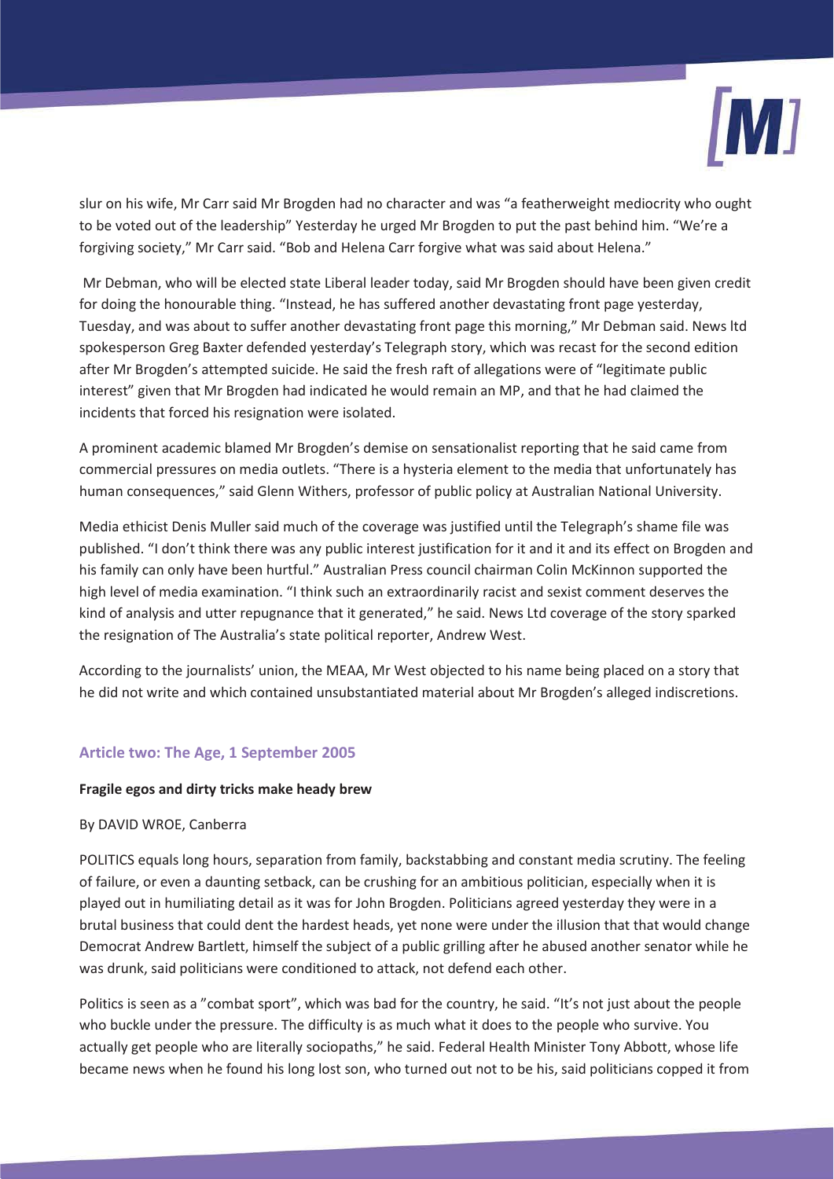

slur on his wife, Mr Carr said Mr Brogden had no character and was "a featherweight mediocrity who ought to be voted out of the leadership" Yesterday he urged Mr Brogden to put the past behind him. "We're a forgiving society," Mr Carr said. "Bob and Helena Carr forgive what was said about Helena."

 Mr Debman, who will be elected state Liberal leader today, said Mr Brogden should have been given credit for doing the honourable thing. "Instead, he has suffered another devastating front page yesterday, Tuesday, and was about to suffer another devastating front page this morning," Mr Debman said. News ltd spokesperson Greg Baxter defended yesterday's Telegraph story, which was recast for the second edition after Mr Brogden's attempted suicide. He said the fresh raft of allegations were of "legitimate public interest" given that Mr Brogden had indicated he would remain an MP, and that he had claimed the incidents that forced his resignation were isolated.

A prominent academic blamed Mr Brogden's demise on sensationalist reporting that he said came from commercial pressures on media outlets. "There is a hysteria element to the media that unfortunately has human consequences," said Glenn Withers, professor of public policy at Australian National University.

Media ethicist Denis Muller said much of the coverage was justified until the Telegraph's shame file was published. "I don't think there was any public interest justification for it and it and its effect on Brogden and his family can only have been hurtful." Australian Press council chairman Colin McKinnon supported the high level of media examination. "I think such an extraordinarily racist and sexist comment deserves the kind of analysis and utter repugnance that it generated," he said. News Ltd coverage of the story sparked the resignation of The Australia's state political reporter, Andrew West.

According to the journalists' union, the MEAA, Mr West objected to his name being placed on a story that he did not write and which contained unsubstantiated material about Mr Brogden's alleged indiscretions.

# **Article two: The Age, 1 September 2005**

#### **Fragile egos and dirty tricks make heady brew**

#### By DAVID WROE, Canberra

POLITICS equals long hours, separation from family, backstabbing and constant media scrutiny. The feeling of failure, or even a daunting setback, can be crushing for an ambitious politician, especially when it is played out in humiliating detail as it was for John Brogden. Politicians agreed yesterday they were in a brutal business that could dent the hardest heads, yet none were under the illusion that that would change Democrat Andrew Bartlett, himself the subject of a public grilling after he abused another senator while he was drunk, said politicians were conditioned to attack, not defend each other.

Politics is seen as a "combat sport", which was bad for the country, he said. "It's not just about the people who buckle under the pressure. The difficulty is as much what it does to the people who survive. You actually get people who are literally sociopaths," he said. Federal Health Minister Tony Abbott, whose life became news when he found his long lost son, who turned out not to be his, said politicians copped it from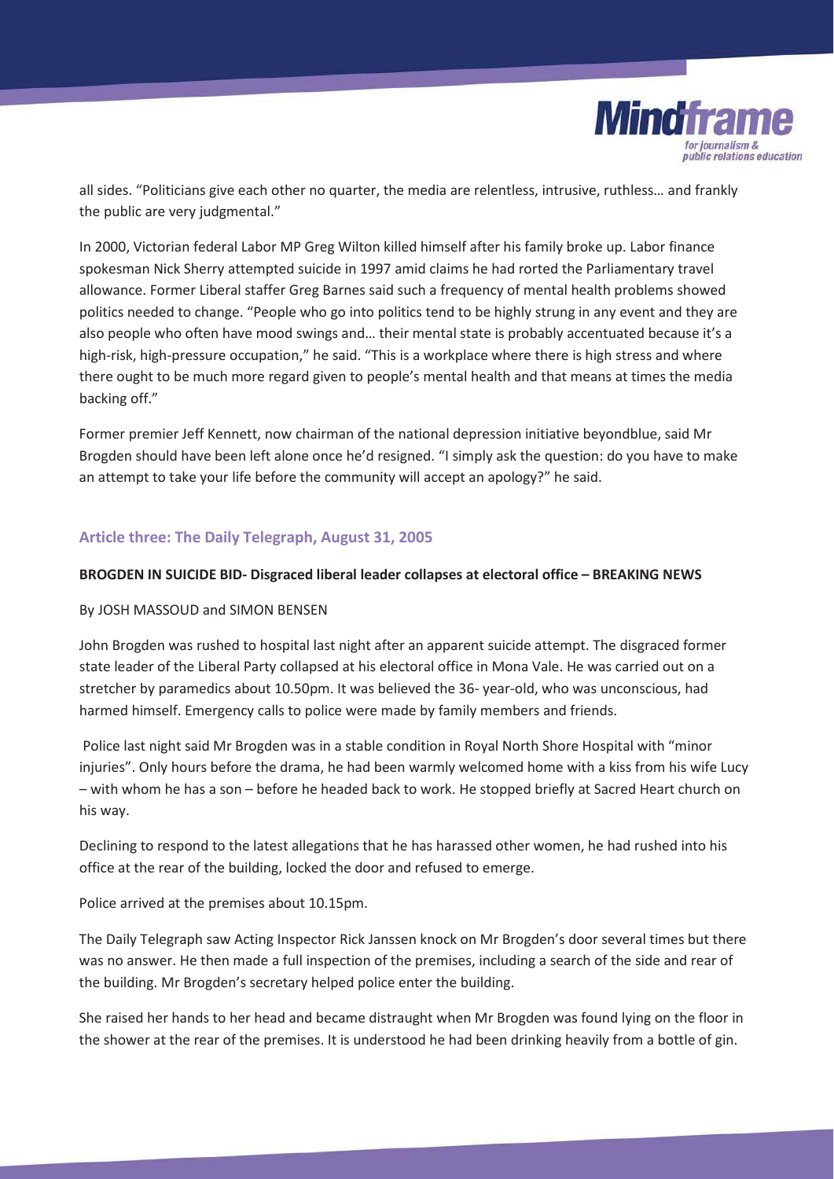

all sides. "Politicians give each other no quarter, the media are relentless, intrusive, ruthless… and frankly the public are very judgmental."

In 2000, Victorian federal Labor MP Greg Wilton killed himself after his family broke up. Labor finance spokesman Nick Sherry attempted suicide in 1997 amid claims he had rorted the Parliamentary travel allowance. Former Liberal staffer Greg Barnes said such a frequency of mental health problems showed politics needed to change. "People who go into politics tend to be highly strung in any event and they are also people who often have mood swings and… their mental state is probably accentuated because it's a high-risk, high-pressure occupation," he said. "This is a workplace where there is high stress and where there ought to be much more regard given to people's mental health and that means at times the media backing off."

Former premier Jeff Kennett, now chairman of the national depression initiative beyondblue, said Mr Brogden should have been left alone once he'd resigned. "I simply ask the question: do you have to make an attempt to take your life before the community will accept an apology?" he said.

# **Article three: The Daily Telegraph, August 31, 2005**

#### **BROGDEN IN SUICIDE BID- Disgraced liberal leader collapses at electoral office – BREAKING NEWS**

#### By JOSH MASSOUD and SIMON BENSEN

John Brogden was rushed to hospital last night after an apparent suicide attempt. The disgraced former state leader of the Liberal Party collapsed at his electoral office in Mona Vale. He was carried out on a stretcher by paramedics about 10.50pm. It was believed the 36- year-old, who was unconscious, had harmed himself. Emergency calls to police were made by family members and friends.

 Police last night said Mr Brogden was in a stable condition in Royal North Shore Hospital with "minor injuries". Only hours before the drama, he had been warmly welcomed home with a kiss from his wife Lucy – with whom he has a son – before he headed back to work. He stopped briefly at Sacred Heart church on his way.

Declining to respond to the latest allegations that he has harassed other women, he had rushed into his office at the rear of the building, locked the door and refused to emerge.

Police arrived at the premises about 10.15pm.

The Daily Telegraph saw Acting Inspector Rick Janssen knock on Mr Brogden's door several times but there was no answer. He then made a full inspection of the premises, including a search of the side and rear of the building. Mr Brogden's secretary helped police enter the building.

She raised her hands to her head and became distraught when Mr Brogden was found lying on the floor in the shower at the rear of the premises. It is understood he had been drinking heavily from a bottle of gin.